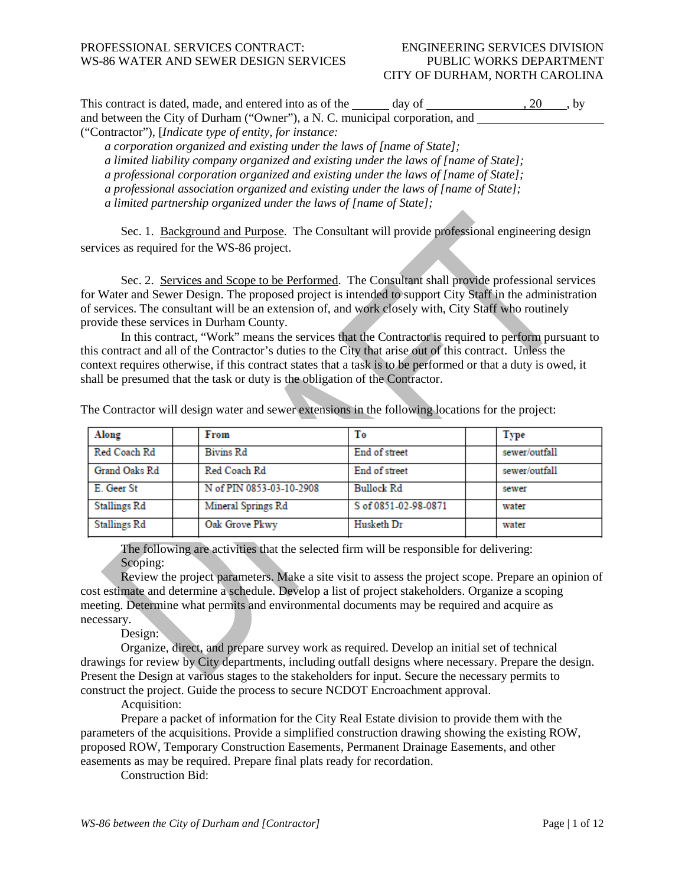### CITY OF DURHAM, NORTH CAROLINA

| This contract is dated, made, and entered into as of the<br>day of           | . 20<br>. by |
|------------------------------------------------------------------------------|--------------|
| and between the City of Durham ("Owner"), a N. C. municipal corporation, and |              |
| ("Contractor"), [ <i>Indicate type of entity, for instance</i> :             |              |

*a corporation organized and existing under the laws of [name of State];*

*a limited liability company organized and existing under the laws of [name of State];*

*a professional corporation organized and existing under the laws of [name of State];*

*a professional association organized and existing under the laws of [name of State];* 

*a limited partnership organized under the laws of [name of State];* 

Sec. 1. Background and Purpose. The Consultant will provide professional engineering design services as required for the WS-86 project.

Sec. 2. Services and Scope to be Performed. The Consultant shall provide professional services for Water and Sewer Design. The proposed project is intended to support City Staff in the administration of services. The consultant will be an extension of, and work closely with, City Staff who routinely provide these services in Durham County.

In this contract, "Work" means the services that the Contractor is required to perform pursuant to this contract and all of the Contractor's duties to the City that arise out of this contract. Unless the context requires otherwise, if this contract states that a task is to be performed or that a duty is owed, it shall be presumed that the task or duty is the obligation of the Contractor.

| Along         | From                     | Тo                   | <b>Type</b>   |
|---------------|--------------------------|----------------------|---------------|
| Red Coach Rd  | <b>Bivins Rd</b>         | End of street        | sewer/outfall |
| Grand Oaks Rd | Red Coach Rd             | End of street        | sewer/outfall |
| E. Geer St    | N of PIN 0853-03-10-2908 | <b>Bullock Rd</b>    | sewer         |
| Stallings Rd  | Mineral Springs Rd       | S of 0851-02-98-0871 | water         |
| Stallings Rd  | Oak Grove Pkwy           | Husketh Dr           | water         |

The Contractor will design water and sewer extensions in the following locations for the project:

The following are activities that the selected firm will be responsible for delivering: Scoping:

Review the project parameters. Make a site visit to assess the project scope. Prepare an opinion of cost estimate and determine a schedule. Develop a list of project stakeholders. Organize a scoping meeting. Determine what permits and environmental documents may be required and acquire as necessary.

Design:

Organize, direct, and prepare survey work as required. Develop an initial set of technical drawings for review by City departments, including outfall designs where necessary. Prepare the design. Present the Design at various stages to the stakeholders for input. Secure the necessary permits to construct the project. Guide the process to secure NCDOT Encroachment approval.

Acquisition:

Prepare a packet of information for the City Real Estate division to provide them with the parameters of the acquisitions. Provide a simplified construction drawing showing the existing ROW, proposed ROW, Temporary Construction Easements, Permanent Drainage Easements, and other easements as may be required. Prepare final plats ready for recordation.

Construction Bid: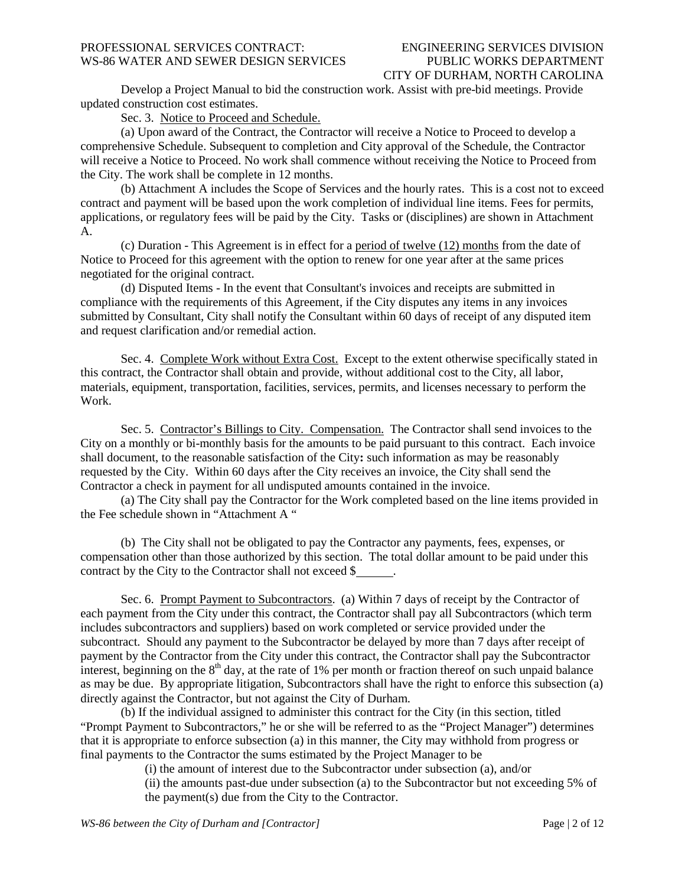# CITY OF DURHAM, NORTH CAROLINA

Develop a Project Manual to bid the construction work. Assist with pre-bid meetings. Provide updated construction cost estimates.

Sec. 3. Notice to Proceed and Schedule.

(a) Upon award of the Contract, the Contractor will receive a Notice to Proceed to develop a comprehensive Schedule. Subsequent to completion and City approval of the Schedule, the Contractor will receive a Notice to Proceed. No work shall commence without receiving the Notice to Proceed from the City. The work shall be complete in 12 months.

(b) Attachment A includes the Scope of Services and the hourly rates. This is a cost not to exceed contract and payment will be based upon the work completion of individual line items. Fees for permits, applications, or regulatory fees will be paid by the City. Tasks or (disciplines) are shown in Attachment A.

(c) Duration - This Agreement is in effect for a period of twelve (12) months from the date of Notice to Proceed for this agreement with the option to renew for one year after at the same prices negotiated for the original contract.

(d) Disputed Items - In the event that Consultant's invoices and receipts are submitted in compliance with the requirements of this Agreement, if the City disputes any items in any invoices submitted by Consultant, City shall notify the Consultant within 60 days of receipt of any disputed item and request clarification and/or remedial action.

Sec. 4. Complete Work without Extra Cost. Except to the extent otherwise specifically stated in this contract, the Contractor shall obtain and provide, without additional cost to the City, all labor, materials, equipment, transportation, facilities, services, permits, and licenses necessary to perform the Work.

Sec. 5. Contractor's Billings to City. Compensation. The Contractor shall send invoices to the City on a monthly or bi-monthly basis for the amounts to be paid pursuant to this contract. Each invoice shall document, to the reasonable satisfaction of the City**:** such information as may be reasonably requested by the City. Within 60 days after the City receives an invoice, the City shall send the Contractor a check in payment for all undisputed amounts contained in the invoice.

(a) The City shall pay the Contractor for the Work completed based on the line items provided in the Fee schedule shown in "Attachment A "

(b) The City shall not be obligated to pay the Contractor any payments, fees, expenses, or compensation other than those authorized by this section. The total dollar amount to be paid under this contract by the City to the Contractor shall not exceed \$

Sec. 6. Prompt Payment to Subcontractors. (a) Within 7 days of receipt by the Contractor of each payment from the City under this contract, the Contractor shall pay all Subcontractors (which term includes subcontractors and suppliers) based on work completed or service provided under the subcontract. Should any payment to the Subcontractor be delayed by more than 7 days after receipt of payment by the Contractor from the City under this contract, the Contractor shall pay the Subcontractor interest, beginning on the  $8<sup>th</sup>$  day, at the rate of 1% per month or fraction thereof on such unpaid balance as may be due. By appropriate litigation, Subcontractors shall have the right to enforce this subsection (a) directly against the Contractor, but not against the City of Durham.

(b) If the individual assigned to administer this contract for the City (in this section, titled "Prompt Payment to Subcontractors," he or she will be referred to as the "Project Manager") determines that it is appropriate to enforce subsection (a) in this manner, the City may withhold from progress or final payments to the Contractor the sums estimated by the Project Manager to be

(i) the amount of interest due to the Subcontractor under subsection (a), and/or

(ii) the amounts past-due under subsection (a) to the Subcontractor but not exceeding 5% of the payment(s) due from the City to the Contractor.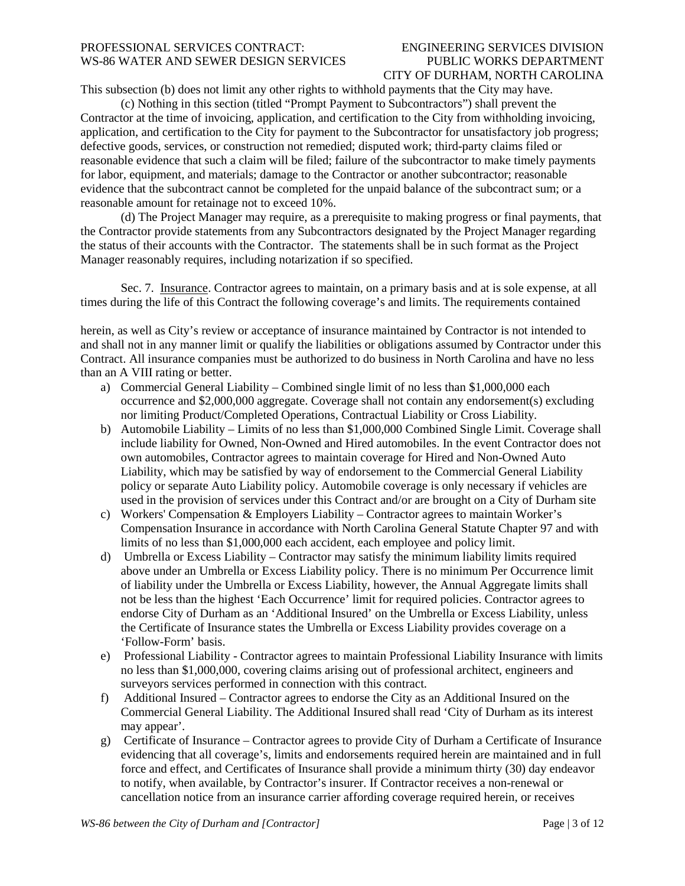# CITY OF DURHAM, NORTH CAROLINA

This subsection (b) does not limit any other rights to withhold payments that the City may have.

(c) Nothing in this section (titled "Prompt Payment to Subcontractors") shall prevent the Contractor at the time of invoicing, application, and certification to the City from withholding invoicing, application, and certification to the City for payment to the Subcontractor for unsatisfactory job progress; defective goods, services, or construction not remedied; disputed work; third-party claims filed or reasonable evidence that such a claim will be filed; failure of the subcontractor to make timely payments for labor, equipment, and materials; damage to the Contractor or another subcontractor; reasonable evidence that the subcontract cannot be completed for the unpaid balance of the subcontract sum; or a reasonable amount for retainage not to exceed 10%.

(d) The Project Manager may require, as a prerequisite to making progress or final payments, that the Contractor provide statements from any Subcontractors designated by the Project Manager regarding the status of their accounts with the Contractor. The statements shall be in such format as the Project Manager reasonably requires, including notarization if so specified.

Sec. 7. Insurance. Contractor agrees to maintain, on a primary basis and at is sole expense, at all times during the life of this Contract the following coverage's and limits. The requirements contained

herein, as well as City's review or acceptance of insurance maintained by Contractor is not intended to and shall not in any manner limit or qualify the liabilities or obligations assumed by Contractor under this Contract. All insurance companies must be authorized to do business in North Carolina and have no less than an A VIII rating or better.

- a) Commercial General Liability Combined single limit of no less than \$1,000,000 each occurrence and \$2,000,000 aggregate. Coverage shall not contain any endorsement(s) excluding nor limiting Product/Completed Operations, Contractual Liability or Cross Liability.
- b) Automobile Liability Limits of no less than \$1,000,000 Combined Single Limit. Coverage shall include liability for Owned, Non-Owned and Hired automobiles. In the event Contractor does not own automobiles, Contractor agrees to maintain coverage for Hired and Non-Owned Auto Liability, which may be satisfied by way of endorsement to the Commercial General Liability policy or separate Auto Liability policy. Automobile coverage is only necessary if vehicles are used in the provision of services under this Contract and/or are brought on a City of Durham site
- c) Workers' Compensation & Employers Liability Contractor agrees to maintain Worker's Compensation Insurance in accordance with North Carolina General Statute Chapter 97 and with limits of no less than \$1,000,000 each accident, each employee and policy limit.
- d) Umbrella or Excess Liability Contractor may satisfy the minimum liability limits required above under an Umbrella or Excess Liability policy. There is no minimum Per Occurrence limit of liability under the Umbrella or Excess Liability, however, the Annual Aggregate limits shall not be less than the highest 'Each Occurrence' limit for required policies. Contractor agrees to endorse City of Durham as an 'Additional Insured' on the Umbrella or Excess Liability, unless the Certificate of Insurance states the Umbrella or Excess Liability provides coverage on a 'Follow-Form' basis.
- e) Professional Liability Contractor agrees to maintain Professional Liability Insurance with limits no less than \$1,000,000, covering claims arising out of professional architect, engineers and surveyors services performed in connection with this contract.
- f) Additional Insured Contractor agrees to endorse the City as an Additional Insured on the Commercial General Liability. The Additional Insured shall read 'City of Durham as its interest may appear'.
- g) Certificate of Insurance Contractor agrees to provide City of Durham a Certificate of Insurance evidencing that all coverage's, limits and endorsements required herein are maintained and in full force and effect, and Certificates of Insurance shall provide a minimum thirty (30) day endeavor to notify, when available, by Contractor's insurer. If Contractor receives a non-renewal or cancellation notice from an insurance carrier affording coverage required herein, or receives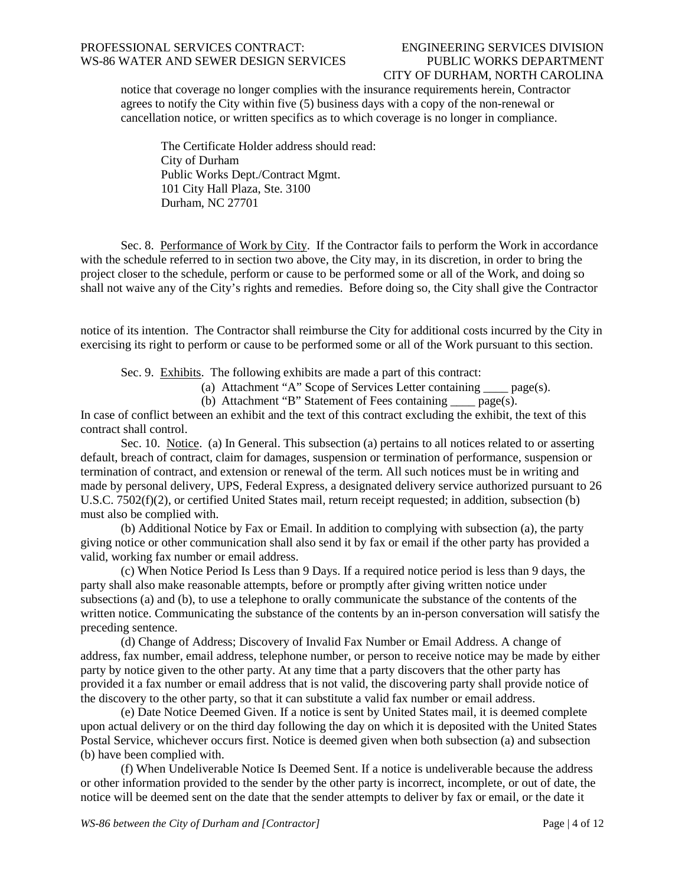# CITY OF DURHAM, NORTH CAROLINA

notice that coverage no longer complies with the insurance requirements herein, Contractor agrees to notify the City within five (5) business days with a copy of the non-renewal or cancellation notice, or written specifics as to which coverage is no longer in compliance.

The Certificate Holder address should read: City of Durham Public Works Dept./Contract Mgmt. 101 City Hall Plaza, Ste. 3100 Durham, NC 27701

Sec. 8. Performance of Work by City. If the Contractor fails to perform the Work in accordance with the schedule referred to in section two above, the City may, in its discretion, in order to bring the project closer to the schedule, perform or cause to be performed some or all of the Work, and doing so shall not waive any of the City's rights and remedies. Before doing so, the City shall give the Contractor

notice of its intention. The Contractor shall reimburse the City for additional costs incurred by the City in exercising its right to perform or cause to be performed some or all of the Work pursuant to this section.

Sec. 9. Exhibits. The following exhibits are made a part of this contract:

(a) Attachment "A" Scope of Services Letter containing  $\qquad \text{page(s)}$ .

(b) Attachment "B" Statement of Fees containing  $page(s)$ .

In case of conflict between an exhibit and the text of this contract excluding the exhibit, the text of this contract shall control.

Sec. 10. Notice. (a) In General. This subsection (a) pertains to all notices related to or asserting default, breach of contract, claim for damages, suspension or termination of performance, suspension or termination of contract, and extension or renewal of the term. All such notices must be in writing and made by personal delivery, UPS, Federal Express, a designated delivery service authorized pursuant to 26 U.S.C. 7502(f)(2), or certified United States mail, return receipt requested; in addition, subsection (b) must also be complied with.

(b) Additional Notice by Fax or Email. In addition to complying with subsection (a), the party giving notice or other communication shall also send it by fax or email if the other party has provided a valid, working fax number or email address.

(c) When Notice Period Is Less than 9 Days. If a required notice period is less than 9 days, the party shall also make reasonable attempts, before or promptly after giving written notice under subsections (a) and (b), to use a telephone to orally communicate the substance of the contents of the written notice. Communicating the substance of the contents by an in-person conversation will satisfy the preceding sentence.

(d) Change of Address; Discovery of Invalid Fax Number or Email Address. A change of address, fax number, email address, telephone number, or person to receive notice may be made by either party by notice given to the other party. At any time that a party discovers that the other party has provided it a fax number or email address that is not valid, the discovering party shall provide notice of the discovery to the other party, so that it can substitute a valid fax number or email address.

(e) Date Notice Deemed Given. If a notice is sent by United States mail, it is deemed complete upon actual delivery or on the third day following the day on which it is deposited with the United States Postal Service, whichever occurs first. Notice is deemed given when both subsection (a) and subsection (b) have been complied with.

(f) When Undeliverable Notice Is Deemed Sent. If a notice is undeliverable because the address or other information provided to the sender by the other party is incorrect, incomplete, or out of date, the notice will be deemed sent on the date that the sender attempts to deliver by fax or email, or the date it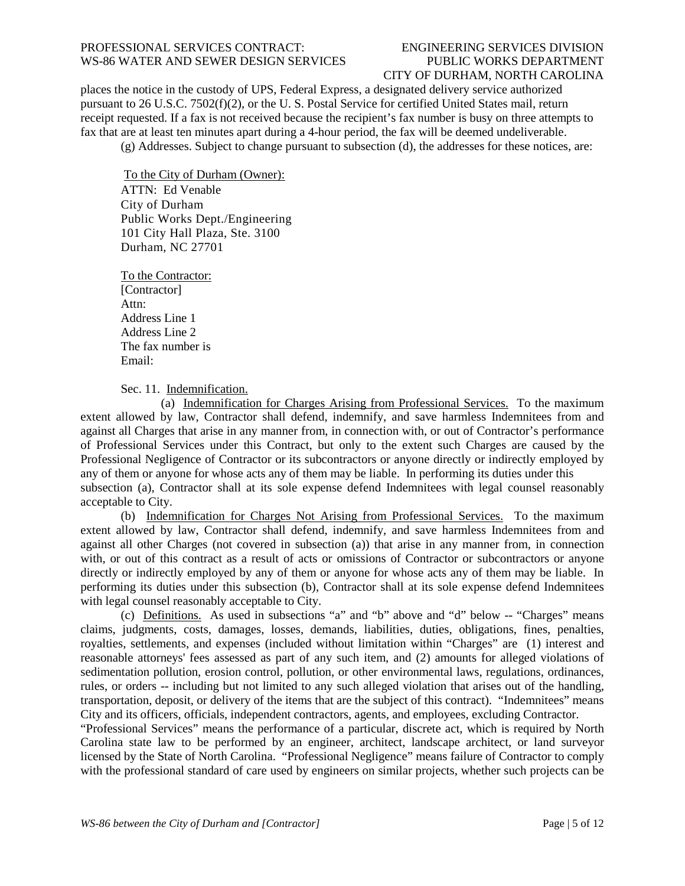## CITY OF DURHAM, NORTH CAROLINA

places the notice in the custody of UPS, Federal Express, a designated delivery service authorized pursuant to 26 U.S.C. 7502(f)(2), or the U. S. Postal Service for certified United States mail, return receipt requested. If a fax is not received because the recipient's fax number is busy on three attempts to fax that are at least ten minutes apart during a 4-hour period, the fax will be deemed undeliverable.

(g) Addresses. Subject to change pursuant to subsection (d), the addresses for these notices, are:

To the City of Durham (Owner): ATTN: Ed Venable City of Durham Public Works Dept./Engineering 101 City Hall Plaza, Ste. 3100 Durham, NC 27701

To the Contractor: [Contractor] Attn: Address Line 1 Address Line 2 The fax number is Email:

Sec. 11. Indemnification.

(a) Indemnification for Charges Arising from Professional Services. To the maximum extent allowed by law, Contractor shall defend, indemnify, and save harmless Indemnitees from and against all Charges that arise in any manner from, in connection with, or out of Contractor's performance of Professional Services under this Contract, but only to the extent such Charges are caused by the Professional Negligence of Contractor or its subcontractors or anyone directly or indirectly employed by any of them or anyone for whose acts any of them may be liable. In performing its duties under this subsection (a), Contractor shall at its sole expense defend Indemnitees with legal counsel reasonably acceptable to City.

(b) Indemnification for Charges Not Arising from Professional Services. To the maximum extent allowed by law, Contractor shall defend, indemnify, and save harmless Indemnitees from and against all other Charges (not covered in subsection (a)) that arise in any manner from, in connection with, or out of this contract as a result of acts or omissions of Contractor or subcontractors or anyone directly or indirectly employed by any of them or anyone for whose acts any of them may be liable. In performing its duties under this subsection (b), Contractor shall at its sole expense defend Indemnitees with legal counsel reasonably acceptable to City.

(c) Definitions. As used in subsections "a" and "b" above and "d" below -- "Charges" means claims, judgments, costs, damages, losses, demands, liabilities, duties, obligations, fines, penalties, royalties, settlements, and expenses (included without limitation within "Charges" are (1) interest and reasonable attorneys' fees assessed as part of any such item, and (2) amounts for alleged violations of sedimentation pollution, erosion control, pollution, or other environmental laws, regulations, ordinances, rules, or orders -- including but not limited to any such alleged violation that arises out of the handling, transportation, deposit, or delivery of the items that are the subject of this contract). "Indemnitees" means City and its officers, officials, independent contractors, agents, and employees, excluding Contractor.

"Professional Services" means the performance of a particular, discrete act, which is required by North Carolina state law to be performed by an engineer, architect, landscape architect, or land surveyor licensed by the State of North Carolina. "Professional Negligence" means failure of Contractor to comply with the professional standard of care used by engineers on similar projects, whether such projects can be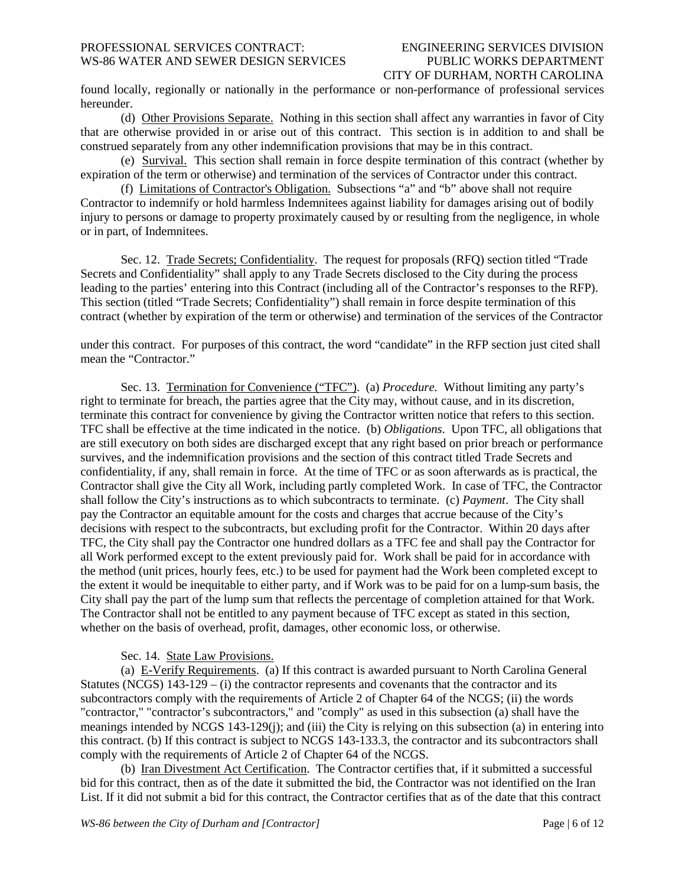## CITY OF DURHAM, NORTH CAROLINA

found locally, regionally or nationally in the performance or non-performance of professional services hereunder.

(d) Other Provisions Separate. Nothing in this section shall affect any warranties in favor of City that are otherwise provided in or arise out of this contract. This section is in addition to and shall be construed separately from any other indemnification provisions that may be in this contract.

(e) Survival. This section shall remain in force despite termination of this contract (whether by expiration of the term or otherwise) and termination of the services of Contractor under this contract.

(f) Limitations of Contractor's Obligation. Subsections "a" and "b" above shall not require Contractor to indemnify or hold harmless Indemnitees against liability for damages arising out of bodily injury to persons or damage to property proximately caused by or resulting from the negligence, in whole or in part, of Indemnitees.

Sec. 12. Trade Secrets; Confidentiality. The request for proposals (RFQ) section titled "Trade Secrets and Confidentiality" shall apply to any Trade Secrets disclosed to the City during the process leading to the parties' entering into this Contract (including all of the Contractor's responses to the RFP). This section (titled "Trade Secrets; Confidentiality") shall remain in force despite termination of this contract (whether by expiration of the term or otherwise) and termination of the services of the Contractor

under this contract. For purposes of this contract, the word "candidate" in the RFP section just cited shall mean the "Contractor."

Sec. 13. Termination for Convenience ("TFC"). (a) *Procedure.* Without limiting any party's right to terminate for breach, the parties agree that the City may, without cause, and in its discretion, terminate this contract for convenience by giving the Contractor written notice that refers to this section. TFC shall be effective at the time indicated in the notice. (b) *Obligations*. Upon TFC, all obligations that are still executory on both sides are discharged except that any right based on prior breach or performance survives, and the indemnification provisions and the section of this contract titled Trade Secrets and confidentiality, if any, shall remain in force. At the time of TFC or as soon afterwards as is practical, the Contractor shall give the City all Work, including partly completed Work. In case of TFC, the Contractor shall follow the City's instructions as to which subcontracts to terminate. (c) *Payment*. The City shall pay the Contractor an equitable amount for the costs and charges that accrue because of the City's decisions with respect to the subcontracts, but excluding profit for the Contractor. Within 20 days after TFC, the City shall pay the Contractor one hundred dollars as a TFC fee and shall pay the Contractor for all Work performed except to the extent previously paid for. Work shall be paid for in accordance with the method (unit prices, hourly fees, etc.) to be used for payment had the Work been completed except to the extent it would be inequitable to either party, and if Work was to be paid for on a lump-sum basis, the City shall pay the part of the lump sum that reflects the percentage of completion attained for that Work. The Contractor shall not be entitled to any payment because of TFC except as stated in this section, whether on the basis of overhead, profit, damages, other economic loss, or otherwise.

#### Sec. 14. State Law Provisions.

(a) E-Verify Requirements. (a) If this contract is awarded pursuant to North Carolina General Statutes (NCGS)  $143-129 - (i)$  the contractor represents and covenants that the contractor and its subcontractors comply with the requirements of Article 2 of Chapter 64 of the NCGS; (ii) the words "contractor," "contractor's subcontractors," and "comply" as used in this subsection (a) shall have the meanings intended by NCGS 143-129(j); and (iii) the City is relying on this subsection (a) in entering into this contract. (b) If this contract is subject to NCGS 143-133.3, the contractor and its subcontractors shall comply with the requirements of Article 2 of Chapter 64 of the NCGS.

(b) Iran Divestment Act Certification. The Contractor certifies that, if it submitted a successful bid for this contract, then as of the date it submitted the bid, the Contractor was not identified on the Iran List. If it did not submit a bid for this contract, the Contractor certifies that as of the date that this contract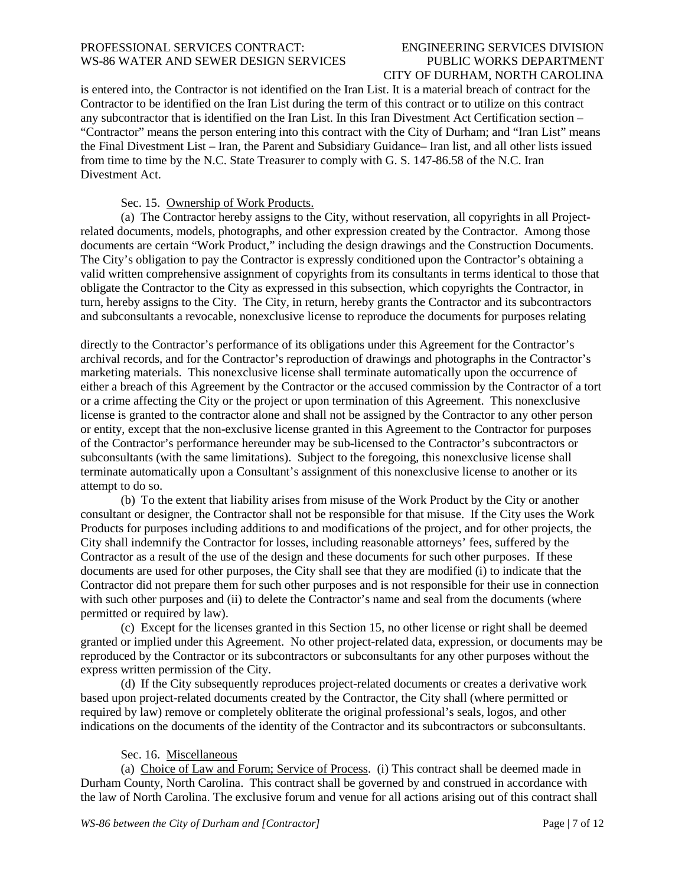# CITY OF DURHAM, NORTH CAROLINA

is entered into, the Contractor is not identified on the Iran List. It is a material breach of contract for the Contractor to be identified on the Iran List during the term of this contract or to utilize on this contract any subcontractor that is identified on the Iran List. In this Iran Divestment Act Certification section – "Contractor" means the person entering into this contract with the City of Durham; and "Iran List" means the Final Divestment List – Iran, the Parent and Subsidiary Guidance– Iran list, and all other lists issued from time to time by the N.C. State Treasurer to comply with G. S. 147-86.58 of the N.C. Iran Divestment Act.

### Sec. 15. Ownership of Work Products.

(a) The Contractor hereby assigns to the City, without reservation, all copyrights in all Projectrelated documents, models, photographs, and other expression created by the Contractor. Among those documents are certain "Work Product," including the design drawings and the Construction Documents. The City's obligation to pay the Contractor is expressly conditioned upon the Contractor's obtaining a valid written comprehensive assignment of copyrights from its consultants in terms identical to those that obligate the Contractor to the City as expressed in this subsection, which copyrights the Contractor, in turn, hereby assigns to the City. The City, in return, hereby grants the Contractor and its subcontractors and subconsultants a revocable, nonexclusive license to reproduce the documents for purposes relating

directly to the Contractor's performance of its obligations under this Agreement for the Contractor's archival records, and for the Contractor's reproduction of drawings and photographs in the Contractor's marketing materials. This nonexclusive license shall terminate automatically upon the occurrence of either a breach of this Agreement by the Contractor or the accused commission by the Contractor of a tort or a crime affecting the City or the project or upon termination of this Agreement. This nonexclusive license is granted to the contractor alone and shall not be assigned by the Contractor to any other person or entity, except that the non-exclusive license granted in this Agreement to the Contractor for purposes of the Contractor's performance hereunder may be sub-licensed to the Contractor's subcontractors or subconsultants (with the same limitations). Subject to the foregoing, this nonexclusive license shall terminate automatically upon a Consultant's assignment of this nonexclusive license to another or its attempt to do so.

(b) To the extent that liability arises from misuse of the Work Product by the City or another consultant or designer, the Contractor shall not be responsible for that misuse. If the City uses the Work Products for purposes including additions to and modifications of the project, and for other projects, the City shall indemnify the Contractor for losses, including reasonable attorneys' fees, suffered by the Contractor as a result of the use of the design and these documents for such other purposes. If these documents are used for other purposes, the City shall see that they are modified (i) to indicate that the Contractor did not prepare them for such other purposes and is not responsible for their use in connection with such other purposes and (ii) to delete the Contractor's name and seal from the documents (where permitted or required by law).

(c) Except for the licenses granted in this Section 15, no other license or right shall be deemed granted or implied under this Agreement. No other project-related data, expression, or documents may be reproduced by the Contractor or its subcontractors or subconsultants for any other purposes without the express written permission of the City.

(d) If the City subsequently reproduces project-related documents or creates a derivative work based upon project-related documents created by the Contractor, the City shall (where permitted or required by law) remove or completely obliterate the original professional's seals, logos, and other indications on the documents of the identity of the Contractor and its subcontractors or subconsultants.

### Sec. 16. Miscellaneous

(a) Choice of Law and Forum; Service of Process. (i) This contract shall be deemed made in Durham County, North Carolina. This contract shall be governed by and construed in accordance with the law of North Carolina. The exclusive forum and venue for all actions arising out of this contract shall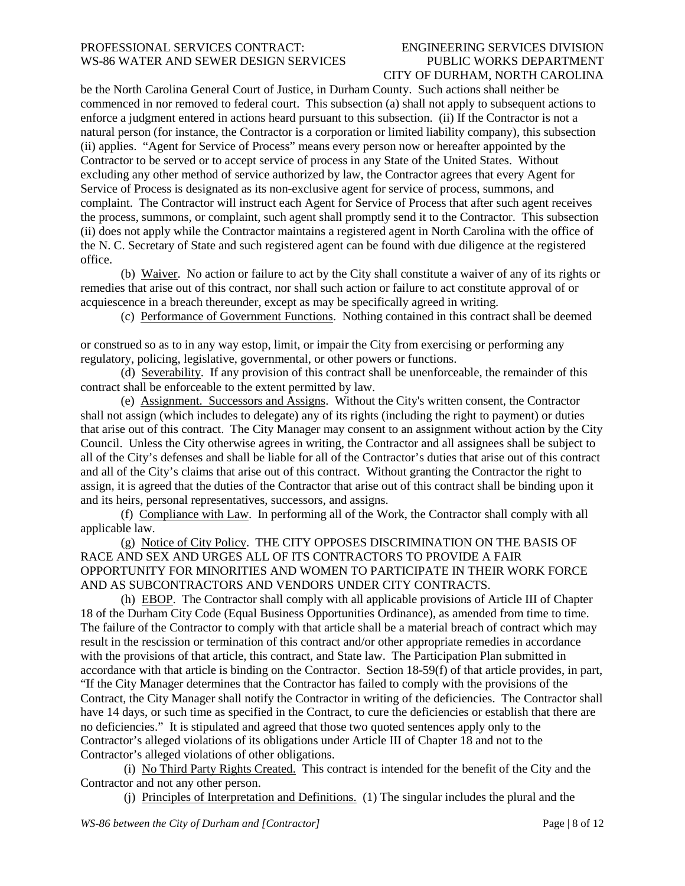# CITY OF DURHAM, NORTH CAROLINA

be the North Carolina General Court of Justice, in Durham County. Such actions shall neither be commenced in nor removed to federal court. This subsection (a) shall not apply to subsequent actions to enforce a judgment entered in actions heard pursuant to this subsection. (ii) If the Contractor is not a natural person (for instance, the Contractor is a corporation or limited liability company), this subsection (ii) applies. "Agent for Service of Process" means every person now or hereafter appointed by the Contractor to be served or to accept service of process in any State of the United States. Without excluding any other method of service authorized by law, the Contractor agrees that every Agent for Service of Process is designated as its non-exclusive agent for service of process, summons, and complaint. The Contractor will instruct each Agent for Service of Process that after such agent receives the process, summons, or complaint, such agent shall promptly send it to the Contractor. This subsection (ii) does not apply while the Contractor maintains a registered agent in North Carolina with the office of the N. C. Secretary of State and such registered agent can be found with due diligence at the registered office.

(b) Waiver. No action or failure to act by the City shall constitute a waiver of any of its rights or remedies that arise out of this contract, nor shall such action or failure to act constitute approval of or acquiescence in a breach thereunder, except as may be specifically agreed in writing.

(c) Performance of Government Functions. Nothing contained in this contract shall be deemed

or construed so as to in any way estop, limit, or impair the City from exercising or performing any regulatory, policing, legislative, governmental, or other powers or functions.

(d) Severability. If any provision of this contract shall be unenforceable, the remainder of this contract shall be enforceable to the extent permitted by law.

(e) Assignment. Successors and Assigns. Without the City's written consent, the Contractor shall not assign (which includes to delegate) any of its rights (including the right to payment) or duties that arise out of this contract. The City Manager may consent to an assignment without action by the City Council. Unless the City otherwise agrees in writing, the Contractor and all assignees shall be subject to all of the City's defenses and shall be liable for all of the Contractor's duties that arise out of this contract and all of the City's claims that arise out of this contract. Without granting the Contractor the right to assign, it is agreed that the duties of the Contractor that arise out of this contract shall be binding upon it and its heirs, personal representatives, successors, and assigns.

(f) Compliance with Law. In performing all of the Work, the Contractor shall comply with all applicable law.

(g) Notice of City Policy. THE CITY OPPOSES DISCRIMINATION ON THE BASIS OF RACE AND SEX AND URGES ALL OF ITS CONTRACTORS TO PROVIDE A FAIR OPPORTUNITY FOR MINORITIES AND WOMEN TO PARTICIPATE IN THEIR WORK FORCE AND AS SUBCONTRACTORS AND VENDORS UNDER CITY CONTRACTS.

(h) EBOP. The Contractor shall comply with all applicable provisions of Article III of Chapter 18 of the Durham City Code (Equal Business Opportunities Ordinance), as amended from time to time. The failure of the Contractor to comply with that article shall be a material breach of contract which may result in the rescission or termination of this contract and/or other appropriate remedies in accordance with the provisions of that article, this contract, and State law. The Participation Plan submitted in accordance with that article is binding on the Contractor. Section 18-59(f) of that article provides, in part, "If the City Manager determines that the Contractor has failed to comply with the provisions of the Contract, the City Manager shall notify the Contractor in writing of the deficiencies. The Contractor shall have 14 days, or such time as specified in the Contract, to cure the deficiencies or establish that there are no deficiencies." It is stipulated and agreed that those two quoted sentences apply only to the Contractor's alleged violations of its obligations under Article III of Chapter 18 and not to the Contractor's alleged violations of other obligations.

(i) No Third Party Rights Created. This contract is intended for the benefit of the City and the Contractor and not any other person.

(j) Principles of Interpretation and Definitions. (1) The singular includes the plural and the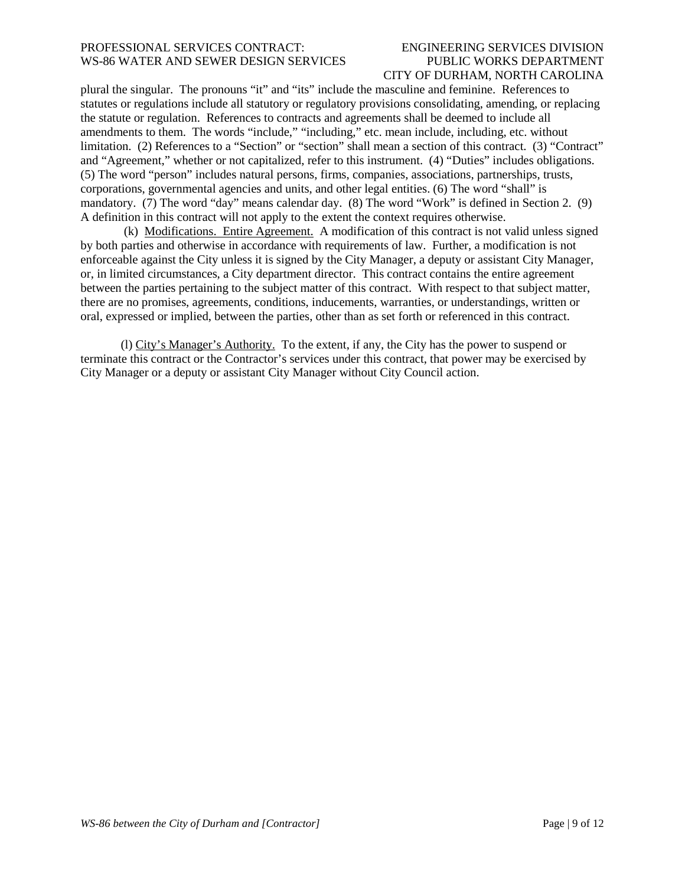## CITY OF DURHAM, NORTH CAROLINA

plural the singular. The pronouns "it" and "its" include the masculine and feminine. References to statutes or regulations include all statutory or regulatory provisions consolidating, amending, or replacing the statute or regulation. References to contracts and agreements shall be deemed to include all amendments to them. The words "include," "including," etc. mean include, including, etc. without limitation. (2) References to a "Section" or "section" shall mean a section of this contract. (3) "Contract" and "Agreement," whether or not capitalized, refer to this instrument. (4) "Duties" includes obligations. (5) The word "person" includes natural persons, firms, companies, associations, partnerships, trusts, corporations, governmental agencies and units, and other legal entities. (6) The word "shall" is mandatory. (7) The word "day" means calendar day. (8) The word "Work" is defined in Section 2. (9) A definition in this contract will not apply to the extent the context requires otherwise.

(k) Modifications. Entire Agreement. A modification of this contract is not valid unless signed by both parties and otherwise in accordance with requirements of law. Further, a modification is not enforceable against the City unless it is signed by the City Manager, a deputy or assistant City Manager, or, in limited circumstances, a City department director. This contract contains the entire agreement between the parties pertaining to the subject matter of this contract. With respect to that subject matter, there are no promises, agreements, conditions, inducements, warranties, or understandings, written or oral, expressed or implied, between the parties, other than as set forth or referenced in this contract.

(l) City's Manager's Authority. To the extent, if any, the City has the power to suspend or terminate this contract or the Contractor's services under this contract, that power may be exercised by City Manager or a deputy or assistant City Manager without City Council action.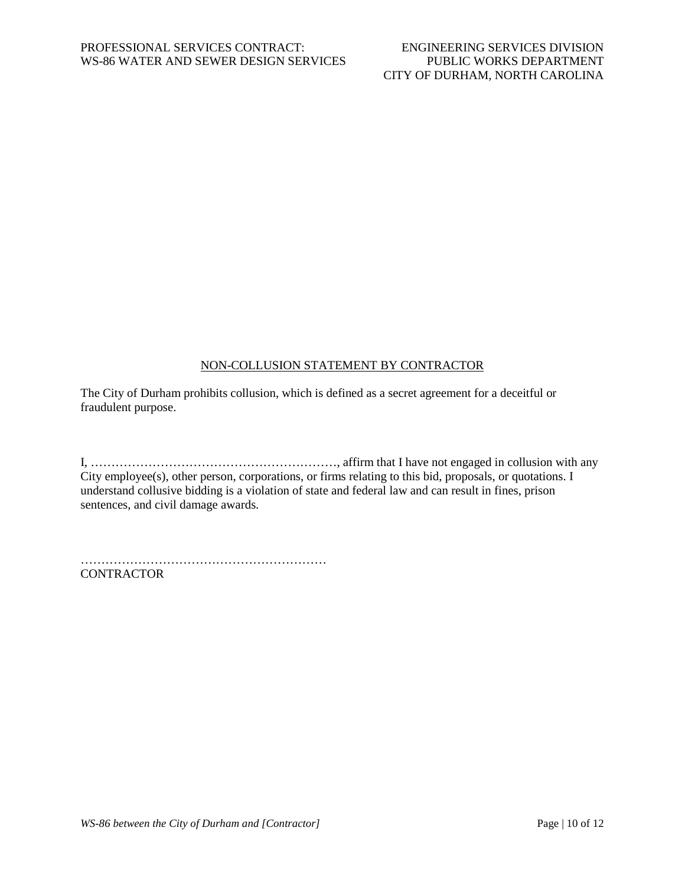### NON-COLLUSION STATEMENT BY CONTRACTOR

The City of Durham prohibits collusion, which is defined as a secret agreement for a deceitful or fraudulent purpose.

I, ……………………………………………………, affirm that I have not engaged in collusion with any City employee(s), other person, corporations, or firms relating to this bid, proposals, or quotations. I understand collusive bidding is a violation of state and federal law and can result in fines, prison sentences, and civil damage awards.

…………………………………………………… **CONTRACTOR**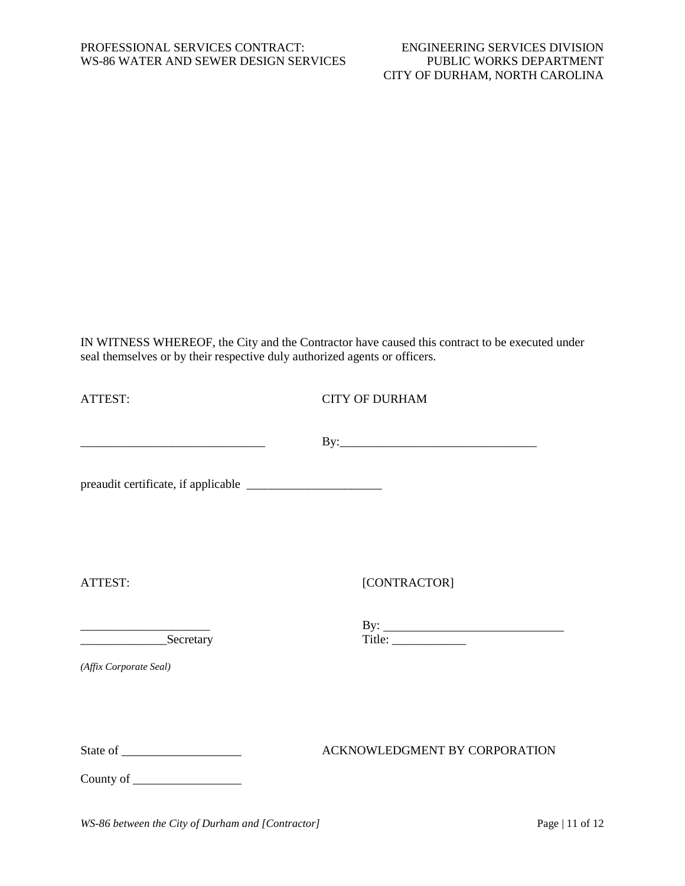IN WITNESS WHEREOF, the City and the Contractor have caused this contract to be executed under seal themselves or by their respective duly authorized agents or officers.

| ATTEST:                | <b>CITY OF DURHAM</b>                                                                                                                                                                                                                                                                                                                                                                                                                                                                                                                             |  |  |
|------------------------|---------------------------------------------------------------------------------------------------------------------------------------------------------------------------------------------------------------------------------------------------------------------------------------------------------------------------------------------------------------------------------------------------------------------------------------------------------------------------------------------------------------------------------------------------|--|--|
|                        |                                                                                                                                                                                                                                                                                                                                                                                                                                                                                                                                                   |  |  |
|                        |                                                                                                                                                                                                                                                                                                                                                                                                                                                                                                                                                   |  |  |
| ATTEST:                | [CONTRACTOR]                                                                                                                                                                                                                                                                                                                                                                                                                                                                                                                                      |  |  |
| Secretary              | By: $\frac{1}{\text{Title: } \qquad \qquad \text{Title: } \qquad \text{Title: } \qquad \text{Title: } \qquad \text{Title: } \qquad \text{Title: } \qquad \text{Title: } \qquad \text{Title: } \qquad \text{Title: } \qquad \text{Title: } \qquad \text{Title: } \qquad \text{Title: } \qquad \text{Title: } \qquad \text{Title: } \qquad \text{Title: } \qquad \text{Title: } \qquad \text{Title: } \qquad \text{Title: } \qquad \text{Title: } \qquad \text{Title: } \qquad \text{Title: } \qquad \text{Title: } \qquad \text{Title: } \qquad \$ |  |  |
| (Affix Corporate Seal) |                                                                                                                                                                                                                                                                                                                                                                                                                                                                                                                                                   |  |  |
|                        | ACKNOWLEDGMENT BY CORPORATION                                                                                                                                                                                                                                                                                                                                                                                                                                                                                                                     |  |  |
|                        |                                                                                                                                                                                                                                                                                                                                                                                                                                                                                                                                                   |  |  |